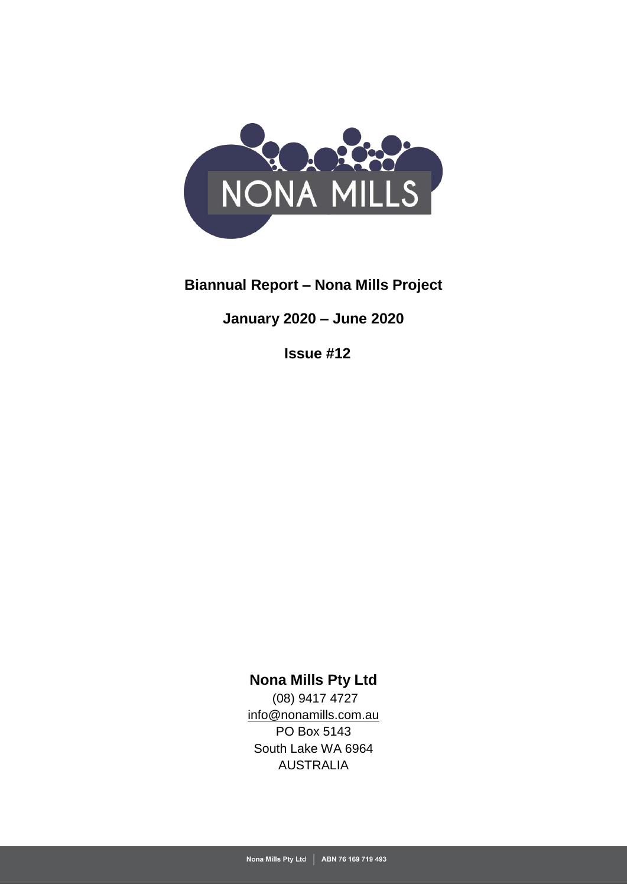

# **Biannual Report – Nona Mills Project**

**January 2020 – June 2020**

**Issue #12**

**Nona Mills Pty Ltd**

(08) 9417 4727 [info@nonamills.com.au](mailto:info@nonamills.com.au) PO Box 5143 South Lake WA 6964 AUSTRALIA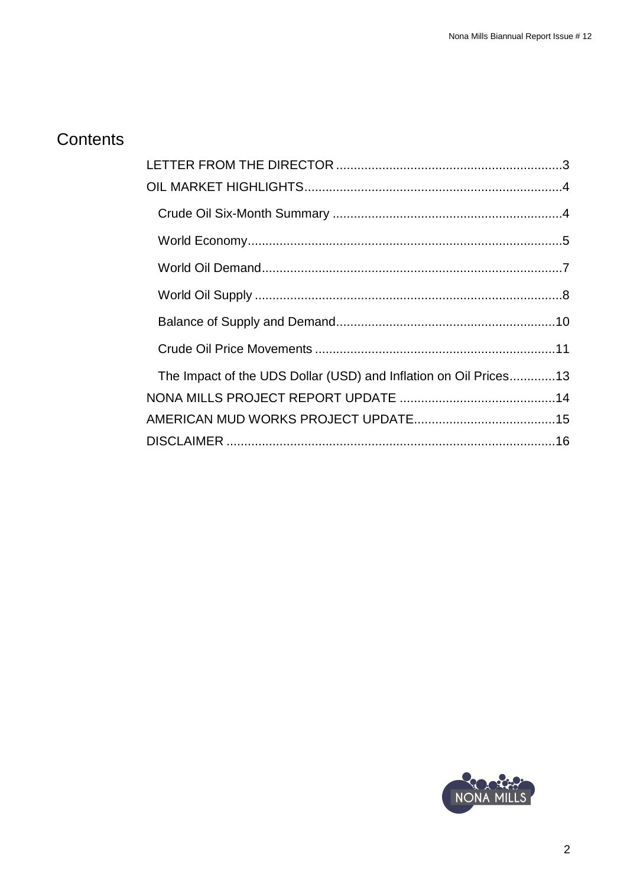# Contents

| The Impact of the UDS Dollar (USD) and Inflation on Oil Prices13 |  |
|------------------------------------------------------------------|--|
|                                                                  |  |
|                                                                  |  |
|                                                                  |  |

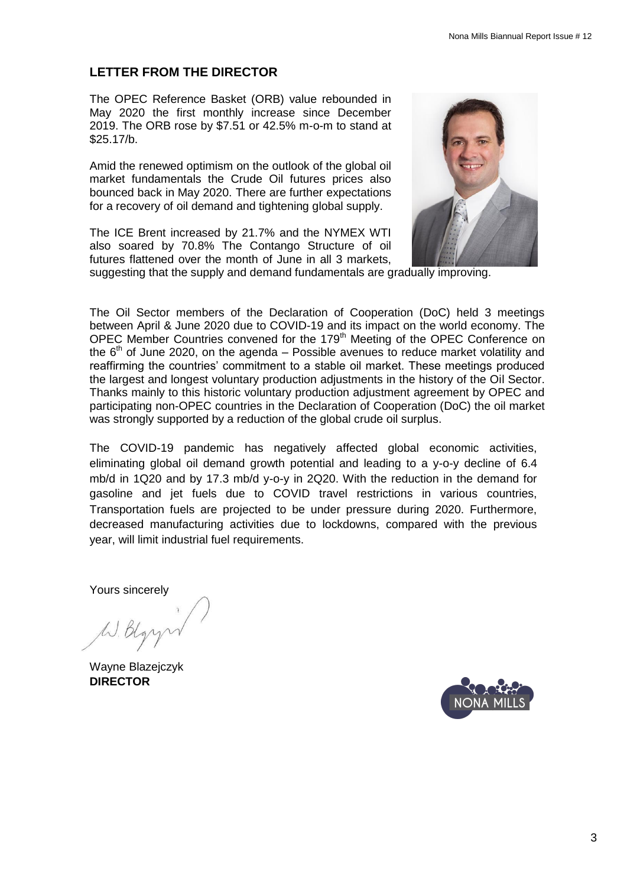## <span id="page-2-0"></span>**LETTER FROM THE DIRECTOR**

The OPEC Reference Basket (ORB) value rebounded in May 2020 the first monthly increase since December 2019. The ORB rose by \$7.51 or 42.5% m-o-m to stand at \$25.17/b.

Amid the renewed optimism on the outlook of the global oil market fundamentals the Crude Oil futures prices also bounced back in May 2020. There are further expectations for a recovery of oil demand and tightening global supply.

The ICE Brent increased by 21.7% and the NYMEX WTI also soared by 70.8% The Contango Structure of oil futures flattened over the month of June in all 3 markets,



suggesting that the supply and demand fundamentals are gradually improving.

The Oil Sector members of the Declaration of Cooperation (DoC) held 3 meetings between April & June 2020 due to COVID-19 and its impact on the world economy. The OPEC Member Countries convened for the 179<sup>th</sup> Meeting of the OPEC Conference on the  $6<sup>th</sup>$  of June 2020, on the agenda – Possible avenues to reduce market volatility and reaffirming the countries' commitment to a stable oil market. These meetings produced the largest and longest voluntary production adjustments in the history of the Oil Sector. Thanks mainly to this historic voluntary production adjustment agreement by OPEC and participating non-OPEC countries in the Declaration of Cooperation (DoC) the oil market was strongly supported by a reduction of the global crude oil surplus.

The COVID-19 pandemic has negatively affected global economic activities, eliminating global oil demand growth potential and leading to a y-o-y decline of 6.4 mb/d in 1Q20 and by 17.3 mb/d y-o-y in 2Q20. With the reduction in the demand for gasoline and jet fuels due to COVID travel restrictions in various countries, Transportation fuels are projected to be under pressure during 2020. Furthermore, decreased manufacturing activities due to lockdowns, compared with the previous year, will limit industrial fuel requirements.

Yours sincerely

<span id="page-2-1"></span>Wayne Blazejczyk **DIRECTOR**

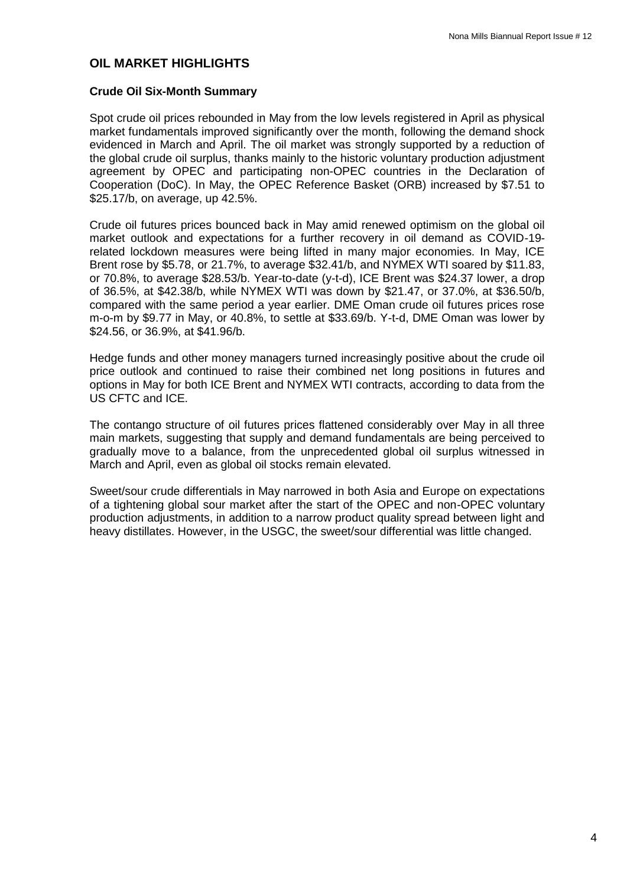#### **OIL MARKET HIGHLIGHTS**

#### <span id="page-3-0"></span>**Crude Oil Six-Month Summary**

Spot crude oil prices rebounded in May from the low levels registered in April as physical market fundamentals improved significantly over the month, following the demand shock evidenced in March and April. The oil market was strongly supported by a reduction of the global crude oil surplus, thanks mainly to the historic voluntary production adjustment agreement by OPEC and participating non-OPEC countries in the Declaration of Cooperation (DoC). In May, the OPEC Reference Basket (ORB) increased by \$7.51 to \$25.17/b, on average, up 42.5%.

Crude oil futures prices bounced back in May amid renewed optimism on the global oil market outlook and expectations for a further recovery in oil demand as COVID-19 related lockdown measures were being lifted in many major economies. In May, ICE Brent rose by \$5.78, or 21.7%, to average \$32.41/b, and NYMEX WTI soared by \$11.83, or 70.8%, to average \$28.53/b. Year-to-date (y-t-d), ICE Brent was \$24.37 lower, a drop of 36.5%, at \$42.38/b, while NYMEX WTI was down by \$21.47, or 37.0%, at \$36.50/b, compared with the same period a year earlier. DME Oman crude oil futures prices rose m-o-m by \$9.77 in May, or 40.8%, to settle at \$33.69/b. Y-t-d, DME Oman was lower by \$24.56, or 36.9%, at \$41.96/b.

Hedge funds and other money managers turned increasingly positive about the crude oil price outlook and continued to raise their combined net long positions in futures and options in May for both ICE Brent and NYMEX WTI contracts, according to data from the US CFTC and ICE.

The contango structure of oil futures prices flattened considerably over May in all three main markets, suggesting that supply and demand fundamentals are being perceived to gradually move to a balance, from the unprecedented global oil surplus witnessed in March and April, even as global oil stocks remain elevated.

<span id="page-3-1"></span>Sweet/sour crude differentials in May narrowed in both Asia and Europe on expectations of a tightening global sour market after the start of the OPEC and non-OPEC voluntary production adjustments, in addition to a narrow product quality spread between light and heavy distillates. However, in the USGC, the sweet/sour differential was little changed.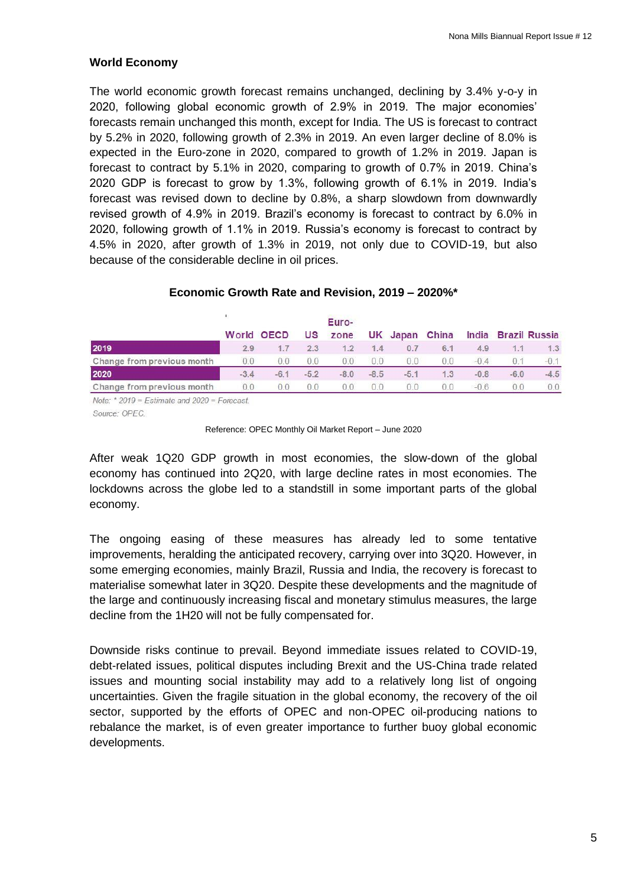#### **World Economy**

The world economic growth forecast remains unchanged, declining by 3.4% y-o-y in 2020, following global economic growth of 2.9% in 2019. The major economies' forecasts remain unchanged this month, except for India. The US is forecast to contract by 5.2% in 2020, following growth of 2.3% in 2019. An even larger decline of 8.0% is expected in the Euro-zone in 2020, compared to growth of 1.2% in 2019. Japan is forecast to contract by 5.1% in 2020, comparing to growth of 0.7% in 2019. China's 2020 GDP is forecast to grow by 1.3%, following growth of 6.1% in 2019. India's forecast was revised down to decline by 0.8%, a sharp slowdown from downwardly revised growth of 4.9% in 2019. Brazil's economy is forecast to contract by 6.0% in 2020, following growth of 1.1% in 2019. Russia's economy is forecast to contract by 4.5% in 2020, after growth of 1.3% in 2019, not only due to COVID-19, but also because of the considerable decline in oil prices.

# **Economic Growth Rate and Revision, 2019 – 2020%\***

|                            |        | <b>US</b>      | zone           |                |        |                |                |        |                     |
|----------------------------|--------|----------------|----------------|----------------|--------|----------------|----------------|--------|---------------------|
| 29                         | 17     | 23             | 12             | 1.4            | 0.7    | 6.1            | 4.9            | 1.1    | 1.3                 |
| 0 <sub>0</sub>             | (11)   | 0 <sub>0</sub> | 0 <sub>0</sub> | 0 <sub>0</sub> | 00     | 0 <sub>0</sub> | $-0.4$         | 0.1    | $-0.1$              |
| $-3.4$                     | $-6.1$ | $-52$          | $-8.0$         | $-8.5$         | $-5.1$ | 1.3            | $-0.8$         | $-6.0$ | $-4.5$              |
|                            | nη     | 0 O            | 0 <sup>0</sup> | 0 <sub>0</sub> | nη     | 00             | $-06$          | nη     | 0.0                 |
| Change from previous month |        | World OECD     |                |                | Euro-  |                | UK Japan China |        | India Brazil Russia |

Note:  $*$  2019 = Estimate and 2020 = Forecast.

Source: OPEC

#### Reference: OPEC Monthly Oil Market Report – June 2020

After weak 1Q20 GDP growth in most economies, the slow-down of the global economy has continued into 2Q20, with large decline rates in most economies. The lockdowns across the globe led to a standstill in some important parts of the global economy.

The ongoing easing of these measures has already led to some tentative improvements, heralding the anticipated recovery, carrying over into 3Q20. However, in some emerging economies, mainly Brazil, Russia and India, the recovery is forecast to materialise somewhat later in 3Q20. Despite these developments and the magnitude of the large and continuously increasing fiscal and monetary stimulus measures, the large decline from the 1H20 will not be fully compensated for.

Downside risks continue to prevail. Beyond immediate issues related to COVID-19, debt-related issues, political disputes including Brexit and the US-China trade related issues and mounting social instability may add to a relatively long list of ongoing uncertainties. Given the fragile situation in the global economy, the recovery of the oil sector, supported by the efforts of OPEC and non-OPEC oil-producing nations to rebalance the market, is of even greater importance to further buoy global economic developments.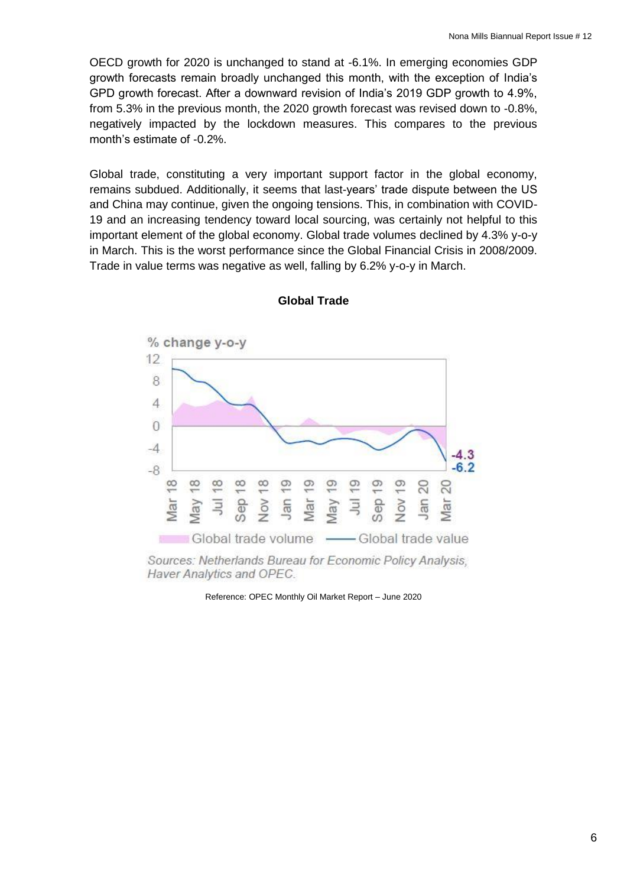OECD growth for 2020 is unchanged to stand at -6.1%. In emerging economies GDP growth forecasts remain broadly unchanged this month, with the exception of India's GPD growth forecast. After a downward revision of India's 2019 GDP growth to 4.9%, from 5.3% in the previous month, the 2020 growth forecast was revised down to -0.8%, negatively impacted by the lockdown measures. This compares to the previous month's estimate of -0.2%.

Global trade, constituting a very important support factor in the global economy, remains subdued. Additionally, it seems that last-years' trade dispute between the US and China may continue, given the ongoing tensions. This, in combination with COVID-19 and an increasing tendency toward local sourcing, was certainly not helpful to this important element of the global economy. Global trade volumes declined by 4.3% y-o-y in March. This is the worst performance since the Global Financial Crisis in 2008/2009. Trade in value terms was negative as well, falling by 6.2% y-o-y in March.



#### **Global Trade**

<span id="page-5-0"></span>Sources: Netherlands Bureau for Economic Policy Analysis, Haver Analytics and OPEC.

Reference: OPEC Monthly Oil Market Report – June 2020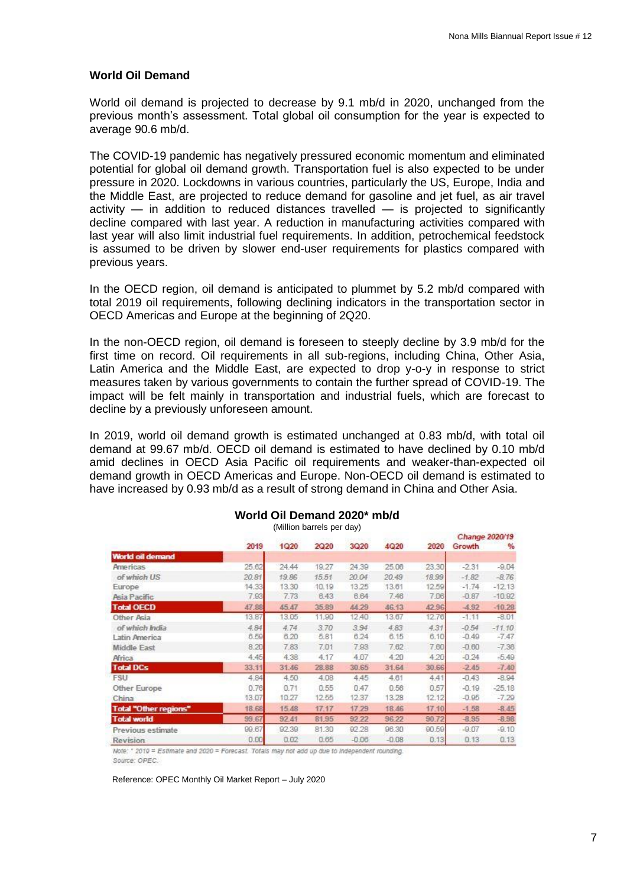#### **World Oil Demand**

<span id="page-6-0"></span>World oil demand is projected to decrease by 9.1 mb/d in 2020, unchanged from the previous month's assessment. Total global oil consumption for the year is expected to average 90.6 mb/d.

The COVID-19 pandemic has negatively pressured economic momentum and eliminated potential for global oil demand growth. Transportation fuel is also expected to be under pressure in 2020. Lockdowns in various countries, particularly the US, Europe, India and the Middle East, are projected to reduce demand for gasoline and jet fuel, as air travel activity — in addition to reduced distances travelled — is projected to significantly decline compared with last year. A reduction in manufacturing activities compared with last year will also limit industrial fuel requirements. In addition, petrochemical feedstock is assumed to be driven by slower end-user requirements for plastics compared with previous years.

In the OECD region, oil demand is anticipated to plummet by 5.2 mb/d compared with total 2019 oil requirements, following declining indicators in the transportation sector in OECD Americas and Europe at the beginning of 2Q20.

In the non-OECD region, oil demand is foreseen to steeply decline by 3.9 mb/d for the first time on record. Oil requirements in all sub-regions, including China, Other Asia, Latin America and the Middle East, are expected to drop y-o-y in response to strict measures taken by various governments to contain the further spread of COVID-19. The impact will be felt mainly in transportation and industrial fuels, which are forecast to decline by a previously unforeseen amount.

In 2019, world oil demand growth is estimated unchanged at 0.83 mb/d, with total oil demand at 99.67 mb/d. OECD oil demand is estimated to have declined by 0.10 mb/d amid declines in OECD Asia Pacific oil requirements and weaker-than-expected oil demand growth in OECD Americas and Europe. Non-OECD oil demand is estimated to have increased by 0.93 mb/d as a result of strong demand in China and Other Asia.

|                              |       |       |       |         |         |       | Change 2020/19 |          |  |
|------------------------------|-------|-------|-------|---------|---------|-------|----------------|----------|--|
|                              | 2019  | 1Q20  | 2Q20  | 3Q20    | 4Q20    | 2020  | Growth         | %        |  |
| World oil demand             |       |       |       |         |         |       |                |          |  |
| <b>Americas</b>              | 25.62 | 24.44 | 19.27 | 24.39   | 25.06   | 23.30 | $-2.31$        | $-9.04$  |  |
| of which US                  | 20.81 | 19.86 | 15.51 | 20.04   | 20.49   | 18.99 | $-1.82$        | $-8.76$  |  |
| Europe                       | 14.33 | 13.30 | 10.19 | 13.25   | 13.61   | 12.59 | $-1.74$        | $-12.13$ |  |
| Asia Pacific                 | 7.93  | 7.73  | 6.43  | 6.64    | 7.46    | 7.06  | $-0.87$        | $-10.92$ |  |
| <b>Total OECD</b>            | 47.88 | 45.47 | 35.89 | 44.29   | 46.13   | 42.96 | $-4.92$        | $-10.28$ |  |
| Other Asia                   | 13.87 | 13.05 | 11.90 | 12.40   | 13.67   | 12.76 | $-1.11$        | $-8.01$  |  |
| of which India               | 4.84  | 4.74  | 3.70  | 3.94    | 4.83    | 4.31  | $-0.54$        | $-11.10$ |  |
| Latin America                | 6.59  | 6.20  | 5.81  | 6.24    | 6.15    | 6.10  | $-0.49$        | $-7.47$  |  |
| Middle East                  | 8.20  | 7.83  | 7.01  | 7.93    | 7.62    | 7.60  | $-0.60$        | $-7.36$  |  |
| Africa                       | 4.45  | 4.38  | 4.17  | 4.07    | 4.20    | 4.20  | $-0.24$        | $-5.49$  |  |
| <b>Total DCs</b>             | 33.11 | 31.46 | 28.88 | 30.65   | 31.64   | 30.66 | $-2.45$        | $-7.40$  |  |
| <b>FSU</b>                   | 4.84  | 4.50  | 4.08  | 4.45    | 4.61    | 4.41  | $-0.43$        | $-8.94$  |  |
| Other Europe                 | 0.76  | 0.71  | 0.55  | 0.47    | 0.56    | 0.57  | $-0.19$        | $-25.18$ |  |
| China                        | 13.07 | 10.27 | 12.55 | 12.37   | 13.28   | 12.12 | $-0.95$        | $-7.29$  |  |
| <b>Total "Other regions"</b> | 18.68 | 15.48 | 17.17 | 17.29   | 18.46   | 17.10 | $-1.58$        | $-8.45$  |  |
| <b>Total world</b>           | 99.67 | 92.41 | 81.95 | 92.22   | 96.22   | 90.72 | $-8.95$        | $-8.98$  |  |
| Previous estimate            | 99.67 | 92.39 | 81.30 | 92.28   | 96.30   | 90.59 | $-9.07$        | $-9.10$  |  |
| Revision                     | 0.00  | 0.02  | 0.65  | $-0.06$ | $-0.08$ | 0.13  | 0.13           | 0.13     |  |

# **World Oil Demand 2020\* mb/d**

(Million barrels per day)

Note: \* 2010 = Estimate and 2020 = Forecast. Totals may not add up due to Independent rounding. Source: OPEC.

Reference: OPEC Monthly Oil Market Report – July 2020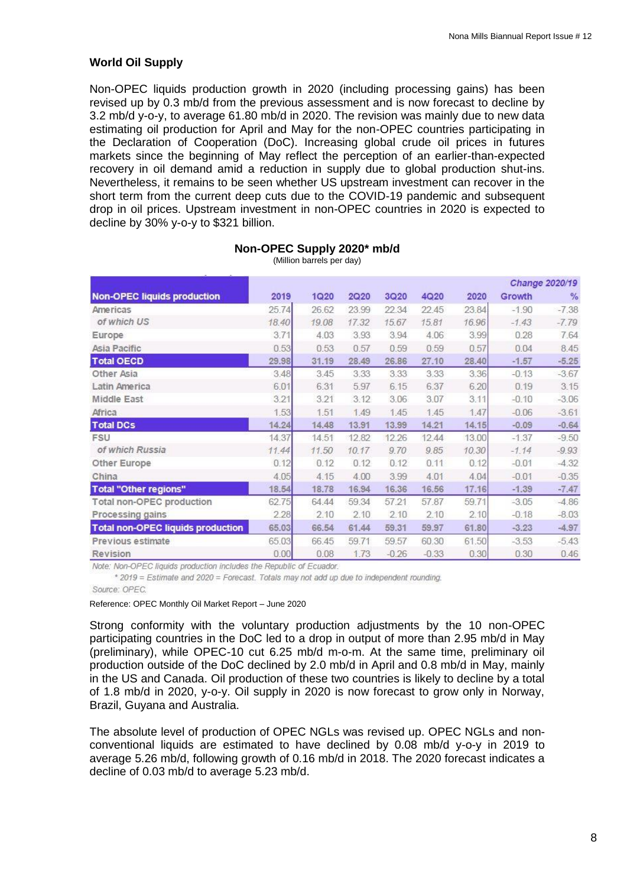#### **World Oil Supply**

<span id="page-7-0"></span>Non-OPEC liquids production growth in 2020 (including processing gains) has been revised up by 0.3 mb/d from the previous assessment and is now forecast to decline by 3.2 mb/d y-o-y, to average 61.80 mb/d in 2020. The revision was mainly due to new data estimating oil production for April and May for the non-OPEC countries participating in the Declaration of Cooperation (DoC). Increasing global crude oil prices in futures markets since the beginning of May reflect the perception of an earlier-than-expected recovery in oil demand amid a reduction in supply due to global production shut-ins. Nevertheless, it remains to be seen whether US upstream investment can recover in the short term from the current deep cuts due to the COVID-19 pandemic and subsequent drop in oil prices. Upstream investment in non-OPEC countries in 2020 is expected to decline by 30% y-o-y to \$321 billion.

|                                          |       |       |       |         |         |       | Change 2020/19 |               |  |
|------------------------------------------|-------|-------|-------|---------|---------|-------|----------------|---------------|--|
| <b>Non-OPEC liquids production</b>       | 2019  | 1Q20  | 2Q20  | 3Q20    | 4Q20    | 2020  | Growth         | $\frac{9}{6}$ |  |
| Americas                                 | 25.74 | 26.62 | 23.99 | 22.34   | 22.45   | 23.84 | $-1.90$        | $-7.38$       |  |
| of which US                              | 18.40 | 19.08 | 17.32 | 15.67   | 15.81   | 16.96 | $-1.43$        | $-7.79$       |  |
| Europe                                   | 3.71  | 4.03  | 3.93  | 3.94    | 4.06    | 3.99  | 0.28           | 7.64          |  |
| Asia Pacific                             | 0.53  | 0.53  | 0.57  | 0.59    | 0.59    | 0.57  | 0.04           | 8.45          |  |
| <b>Total OECD</b>                        | 29.98 | 31.19 | 28.49 | 26.86   | 27.10   | 28.40 | $-1.57$        | $-5.25$       |  |
| Other Asia                               | 3.48  | 3.45  | 3.33  | 3.33    | 3.33    | 3.36  | $-0.13$        | $-3.67$       |  |
| Latin America                            | 6.01  | 6.31  | 5.97  | 6.15    | 6.37    | 6.20  | 0.19           | 3.15          |  |
| Middle East                              | 3.21  | 3.21  | 3.12  | 3.06    | 3.07    | 3.11  | $-0.10$        | $-3.06$       |  |
| Africa                                   | 1.53  | 1.51  | 1.49  | 1.45    | 1.45    | 1.47  | $-0.06$        | $-3.61$       |  |
| <b>Total DCs</b>                         | 14.24 | 14.48 | 13.91 | 13.99   | 14.21   | 14.15 | $-0.09$        | $-0.64$       |  |
| <b>FSU</b>                               | 14.37 | 14.51 | 12.82 | 12.26   | 12.44   | 13.00 | $-1.37$        | $-9.50$       |  |
| of which Russia                          | 11.44 | 11.50 | 10.17 | 9.70    | 9.85    | 10.30 | $-1.14$        | $-9.93$       |  |
| Other Europe                             | 0.12  | 0.12  | 0.12  | 0.12    | 0.11    | 0.12  | $-0.01$        | $-4.32$       |  |
| China                                    | 4.05  | 4.15  | 4.00  | 3.99    | 4.01    | 4.04  | $-0.01$        | $-0.35$       |  |
| <b>Total "Other regions"</b>             | 18.54 | 18.78 | 16.94 | 16.36   | 16.56   | 17.16 | $-1.39$        | $-7.47$       |  |
| <b>Total non-OPEC production</b>         | 62.75 | 64.44 | 59.34 | 57.21   | 57.87   | 59.71 | $-3.05$        | $-4.86$       |  |
| Processing gains                         | 2.28  | 2.10  | 2.10  | 2.10    | 2.10    | 2.10  | $-0.18$        | $-8.03$       |  |
| <b>Total non-OPEC liquids production</b> | 65.03 | 66.54 | 61.44 | 59.31   | 59,97   | 61.80 | $-3.23$        | $-4.97$       |  |
| Previous estimate                        | 65.03 | 66.45 | 59.71 | 59.57   | 60.30   | 61.50 | $-3.53$        | $-5.43$       |  |
| Revision                                 | 0.00  | 0.08  | 1.73  | $-0.26$ | $-0.33$ | 0.30  | 0.30           | 0.46          |  |

#### **Non-OPEC Supply 2020\* mb/d**

(Million barrels per day)

Note: Non-OPEC liquids production includes the Republic of Ecuador.

\* 2019 = Estimate and 2020 = Forecast. Totals may not add up due to independent rounding. Source: OPEC.

Reference: OPEC Monthly Oil Market Report – June 2020

Strong conformity with the voluntary production adjustments by the 10 non-OPEC participating countries in the DoC led to a drop in output of more than 2.95 mb/d in May (preliminary), while OPEC-10 cut 6.25 mb/d m-o-m. At the same time, preliminary oil production outside of the DoC declined by 2.0 mb/d in April and 0.8 mb/d in May, mainly in the US and Canada. Oil production of these two countries is likely to decline by a total of 1.8 mb/d in 2020, y-o-y. Oil supply in 2020 is now forecast to grow only in Norway, Brazil, Guyana and Australia.

The absolute level of production of OPEC NGLs was revised up. OPEC NGLs and nonconventional liquids are estimated to have declined by 0.08 mb/d y-o-y in 2019 to average 5.26 mb/d, following growth of 0.16 mb/d in 2018. The 2020 forecast indicates a decline of 0.03 mb/d to average 5.23 mb/d.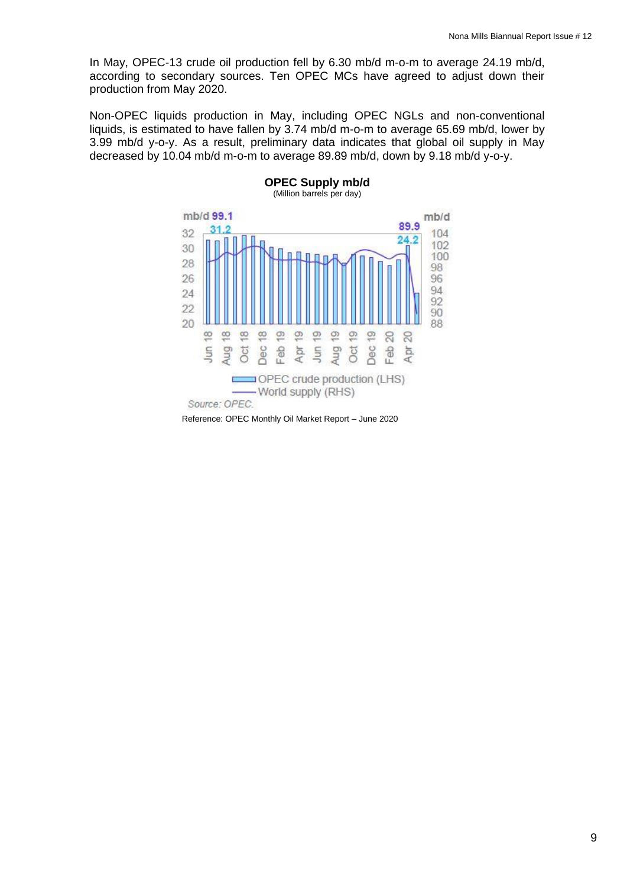In May, OPEC-13 crude oil production fell by 6.30 mb/d m-o-m to average 24.19 mb/d, according to secondary sources. Ten OPEC MCs have agreed to adjust down their production from May 2020.

Non-OPEC liquids production in May, including OPEC NGLs and non-conventional liquids, is estimated to have fallen by 3.74 mb/d m-o-m to average 65.69 mb/d, lower by 3.99 mb/d y-o-y. As a result, preliminary data indicates that global oil supply in May decreased by 10.04 mb/d m-o-m to average 89.89 mb/d, down by 9.18 mb/d y-o-y.

**OPEC Supply mb/d**



Reference: OPEC Monthly Oil Market Report – June 2020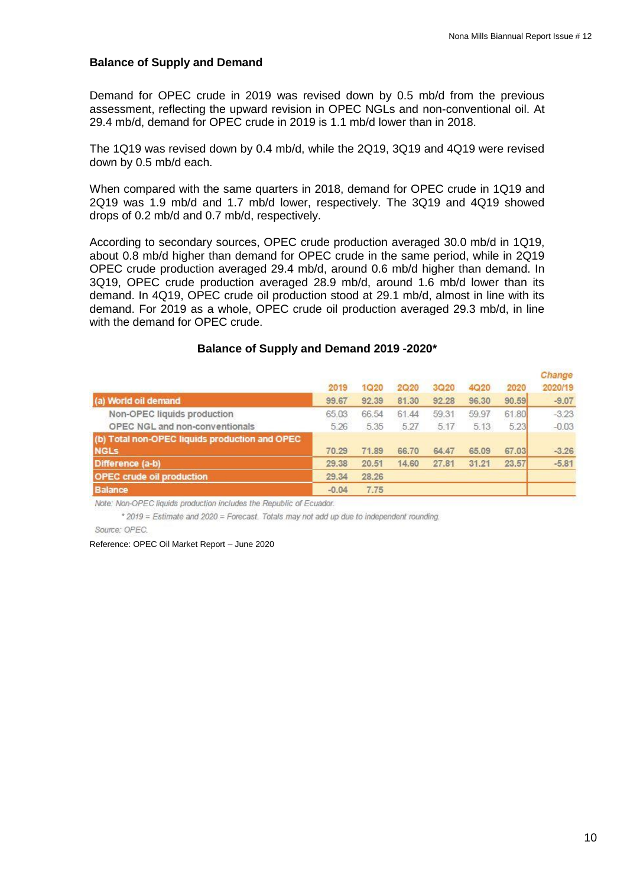#### **Balance of Supply and Demand**

<span id="page-9-0"></span>Demand for OPEC crude in 2019 was revised down by 0.5 mb/d from the previous assessment, reflecting the upward revision in OPEC NGLs and non-conventional oil. At 29.4 mb/d, demand for OPEC crude in 2019 is 1.1 mb/d lower than in 2018.

The 1Q19 was revised down by 0.4 mb/d, while the 2Q19, 3Q19 and 4Q19 were revised down by 0.5 mb/d each.

When compared with the same quarters in 2018, demand for OPEC crude in 1Q19 and 2Q19 was 1.9 mb/d and 1.7 mb/d lower, respectively. The 3Q19 and 4Q19 showed drops of 0.2 mb/d and 0.7 mb/d, respectively.

According to secondary sources, OPEC crude production averaged 30.0 mb/d in 1Q19, about 0.8 mb/d higher than demand for OPEC crude in the same period, while in 2Q19 OPEC crude production averaged 29.4 mb/d, around 0.6 mb/d higher than demand. In 3Q19, OPEC crude production averaged 28.9 mb/d, around 1.6 mb/d lower than its demand. In 4Q19, OPEC crude oil production stood at 29.1 mb/d, almost in line with its demand. For 2019 as a whole, OPEC crude oil production averaged 29.3 mb/d, in line with the demand for OPEC crude.

#### **Balance of Supply and Demand 2019 -2020\***

|                                                | 2019    | 1Q20  | 2Q20  | 3Q20  | 4Q20  | 2020  | Change<br>2020/19 |
|------------------------------------------------|---------|-------|-------|-------|-------|-------|-------------------|
| (a) World oil demand                           | 99.67   | 92.39 | 81.30 | 92.28 | 96.30 | 90.59 | $-9.07$           |
| Non-OPEC liquids production                    | 65.03   | 66.54 | 61.44 | 59.31 | 59.97 | 61.80 | $-3.23$           |
| OPEC NGL and non-conventionals                 | 5.26    | 5.35  | 5.27  | 5.17  | 5 1 3 | 5.23  | $-0.03$           |
| (b) Total non-OPEC liquids production and OPEC |         |       |       |       |       |       |                   |
| <b>NGLS</b>                                    | 70.29   | 71.89 | 66.70 | 64.47 | 65.09 | 67.03 | $-3.26$           |
| Difference (a-b)                               | 29.38   | 20.51 | 14.60 | 27.81 | 31.21 | 23.57 | $-5.81$           |
| <b>OPEC crude oil production</b>               | 29.34   | 28.26 |       |       |       |       |                   |
| <b>Balance</b>                                 | $-0.04$ | 7.75  |       |       |       |       |                   |

Note: Non-OPEC liquids production includes the Republic of Ecuador.

\* 2019 = Estimate and 2020 = Forecast. Totals may not add up due to independent rounding.

Source: OPEC.

#### Reference: OPEC Oil Market Report – June 2020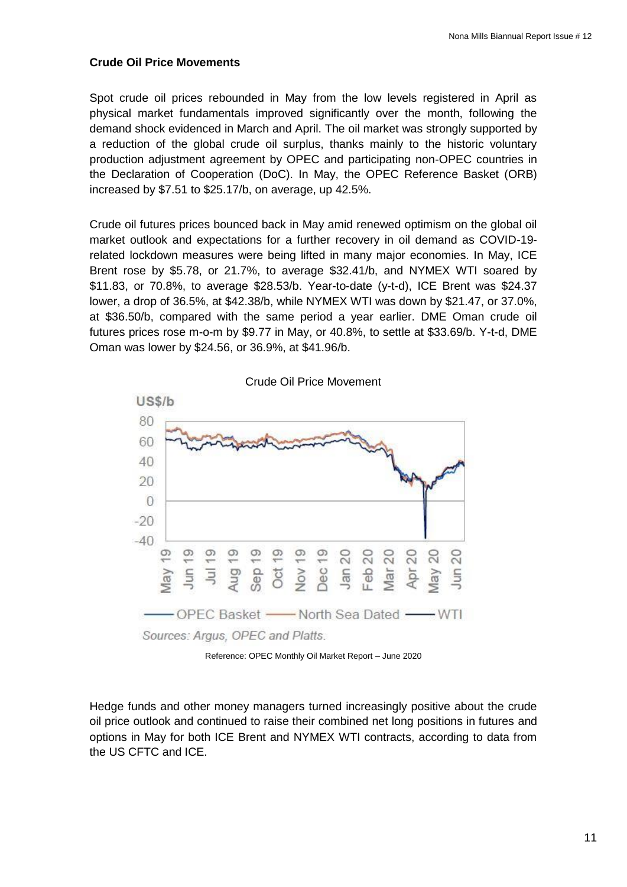#### **Crude Oil Price Movements**

Spot crude oil prices rebounded in May from the low levels registered in April as physical market fundamentals improved significantly over the month, following the demand shock evidenced in March and April. The oil market was strongly supported by a reduction of the global crude oil surplus, thanks mainly to the historic voluntary production adjustment agreement by OPEC and participating non-OPEC countries in the Declaration of Cooperation (DoC). In May, the OPEC Reference Basket (ORB) increased by \$7.51 to \$25.17/b, on average, up 42.5%.

Crude oil futures prices bounced back in May amid renewed optimism on the global oil market outlook and expectations for a further recovery in oil demand as COVID-19 related lockdown measures were being lifted in many major economies. In May, ICE Brent rose by \$5.78, or 21.7%, to average \$32.41/b, and NYMEX WTI soared by \$11.83, or 70.8%, to average \$28.53/b. Year-to-date (y-t-d), ICE Brent was \$24.37 lower, a drop of 36.5%, at \$42.38/b, while NYMEX WTI was down by \$21.47, or 37.0%, at \$36.50/b, compared with the same period a year earlier. DME Oman crude oil futures prices rose m-o-m by \$9.77 in May, or 40.8%, to settle at \$33.69/b. Y-t-d, DME Oman was lower by \$24.56, or 36.9%, at \$41.96/b.



Reference: OPEC Monthly Oil Market Report – June 2020

Hedge funds and other money managers turned increasingly positive about the crude oil price outlook and continued to raise their combined net long positions in futures and options in May for both ICE Brent and NYMEX WTI contracts, according to data from the US CFTC and ICE.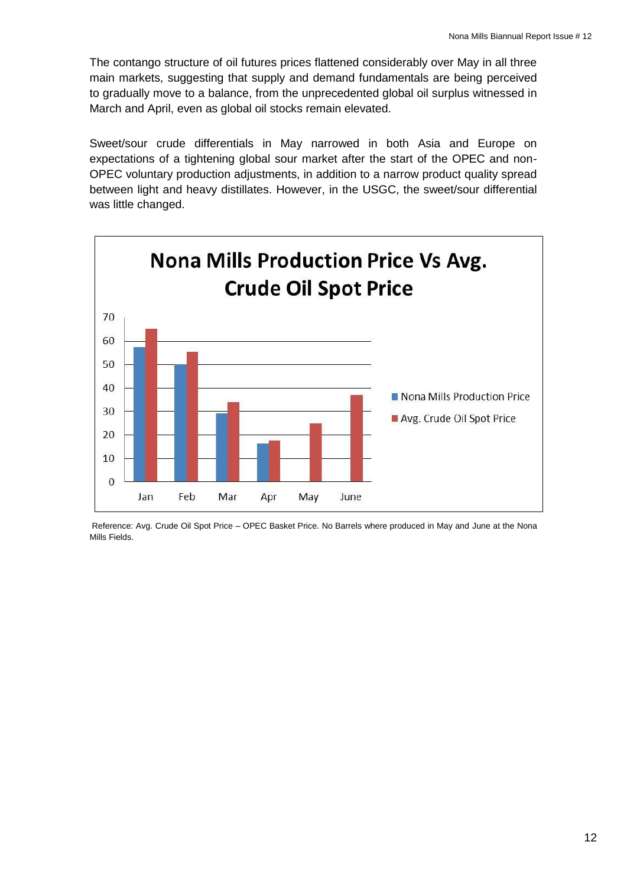The contango structure of oil futures prices flattened considerably over May in all three main markets, suggesting that supply and demand fundamentals are being perceived to gradually move to a balance, from the unprecedented global oil surplus witnessed in March and April, even as global oil stocks remain elevated.

Sweet/sour crude differentials in May narrowed in both Asia and Europe on expectations of a tightening global sour market after the start of the OPEC and non-OPEC voluntary production adjustments, in addition to a narrow product quality spread between light and heavy distillates. However, in the USGC, the sweet/sour differential was little changed.



<span id="page-11-0"></span>Reference: Avg. Crude Oil Spot Price – OPEC Basket Price. No Barrels where produced in May and June at the Nona Mills Fields.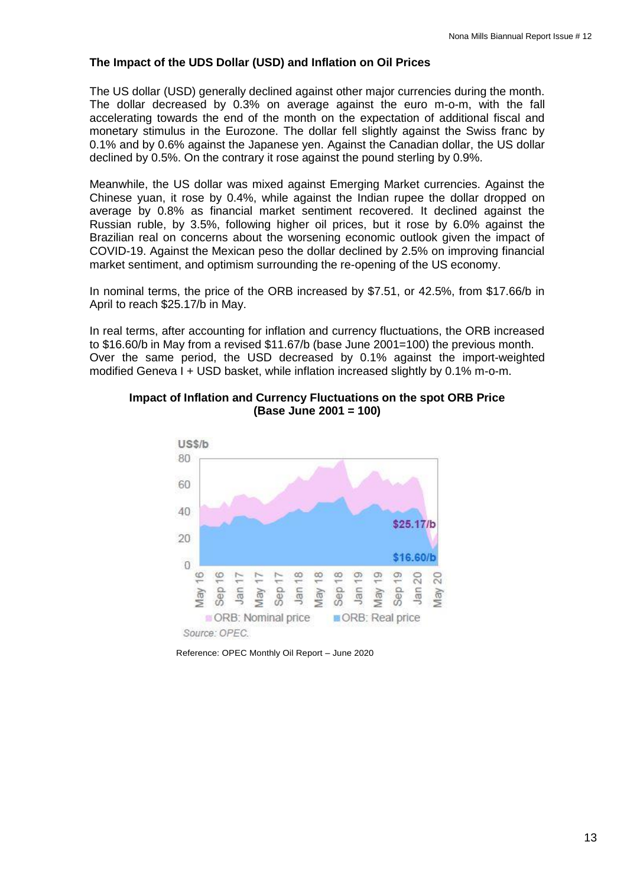#### **The Impact of the UDS Dollar (USD) and Inflation on Oil Prices**

The US dollar (USD) generally declined against other major currencies during the month. The dollar decreased by 0.3% on average against the euro m-o-m, with the fall accelerating towards the end of the month on the expectation of additional fiscal and monetary stimulus in the Eurozone. The dollar fell slightly against the Swiss franc by 0.1% and by 0.6% against the Japanese yen. Against the Canadian dollar, the US dollar declined by 0.5%. On the contrary it rose against the pound sterling by 0.9%.

Meanwhile, the US dollar was mixed against Emerging Market currencies. Against the Chinese yuan, it rose by 0.4%, while against the Indian rupee the dollar dropped on average by 0.8% as financial market sentiment recovered. It declined against the Russian ruble, by 3.5%, following higher oil prices, but it rose by 6.0% against the Brazilian real on concerns about the worsening economic outlook given the impact of COVID-19. Against the Mexican peso the dollar declined by 2.5% on improving financial market sentiment, and optimism surrounding the re-opening of the US economy.

In nominal terms, the price of the ORB increased by \$7.51, or 42.5%, from \$17.66/b in April to reach \$25.17/b in May.

In real terms, after accounting for inflation and currency fluctuations, the ORB increased to \$16.60/b in May from a revised \$11.67/b (base June 2001=100) the previous month. Over the same period, the USD decreased by 0.1% against the import-weighted modified Geneva I + USD basket, while inflation increased slightly by 0.1% m-o-m.



**Impact of Inflation and Currency Fluctuations on the spot ORB Price (Base June 2001 = 100)**

Reference: OPEC Monthly Oil Report – June 2020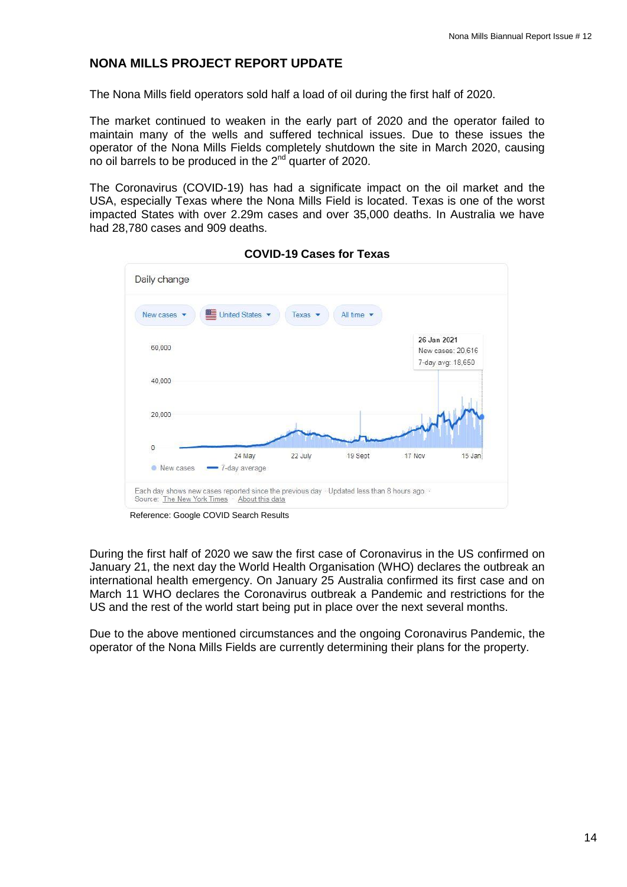## <span id="page-13-0"></span>**NONA MILLS PROJECT REPORT UPDATE**

The Nona Mills field operators sold half a load of oil during the first half of 2020.

The market continued to weaken in the early part of 2020 and the operator failed to maintain many of the wells and suffered technical issues. Due to these issues the operator of the Nona Mills Fields completely shutdown the site in March 2020, causing no oil barrels to be produced in the 2<sup>nd</sup> quarter of 2020.

The Coronavirus (COVID-19) has had a significate impact on the oil market and the USA, especially Texas where the Nona Mills Field is located. Texas is one of the worst impacted States with over 2.29m cases and over 35,000 deaths. In Australia we have had 28,780 cases and 909 deaths.



**COVID-19 Cases for Texas**

Reference: Google COVID Search Results

During the first half of 2020 we saw the first case of Coronavirus in the US confirmed on January 21, the next day the World Health Organisation (WHO) declares the outbreak an international health emergency. On January 25 Australia confirmed its first case and on March 11 WHO declares the Coronavirus outbreak a Pandemic and restrictions for the US and the rest of the world start being put in place over the next several months.

<span id="page-13-1"></span>Due to the above mentioned circumstances and the ongoing Coronavirus Pandemic, the operator of the Nona Mills Fields are currently determining their plans for the property.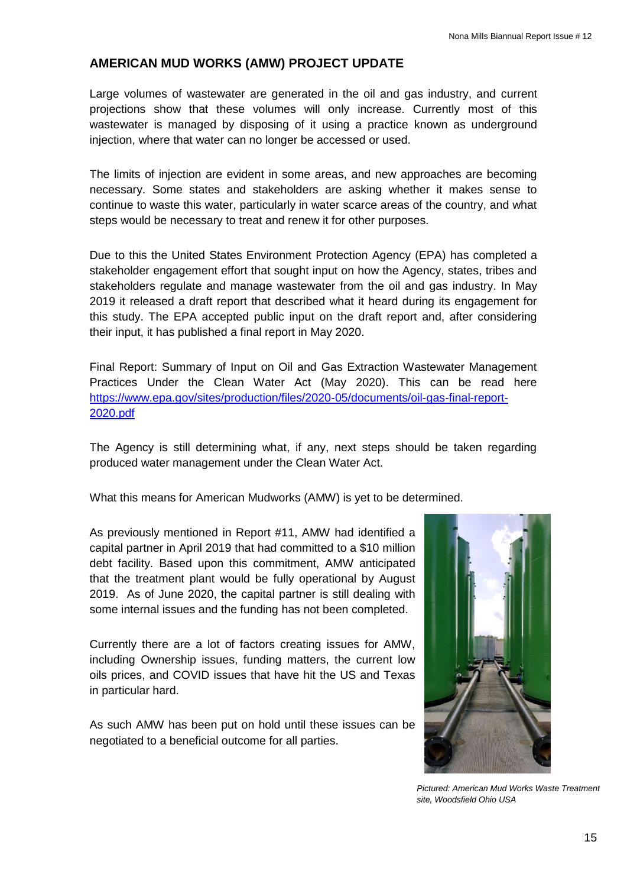#### **AMERICAN MUD WORKS (AMW) PROJECT UPDATE**

Large volumes of wastewater are generated in the oil and gas industry, and current projections show that these volumes will only increase. Currently most of this wastewater is managed by disposing of it using a practice known as underground injection, where that water can no longer be accessed or used.

The limits of injection are evident in some areas, and new approaches are becoming necessary. Some states and stakeholders are asking whether it makes sense to continue to waste this water, particularly in water scarce areas of the country, and what steps would be necessary to treat and renew it for other purposes.

Due to this the United States Environment Protection Agency (EPA) has completed a stakeholder engagement effort that sought input on how the Agency, states, tribes and stakeholders regulate and manage wastewater from the oil and gas industry. In May 2019 it released a draft report that described what it heard during its engagement for this study. The EPA accepted public input on the draft report and, after considering their input, it has published a final report in May 2020.

Final Report: Summary of Input on Oil and Gas Extraction Wastewater Management Practices Under the Clean Water Act (May 2020). This can be read here [https://www.epa.gov/sites/production/files/2020-05/documents/oil-gas-final-report-](https://www.epa.gov/sites/production/files/2020-05/documents/oil-gas-final-report-2020.pdf)[2020.pdf](https://www.epa.gov/sites/production/files/2020-05/documents/oil-gas-final-report-2020.pdf)

The Agency is still determining what, if any, next steps should be taken regarding produced water management under the Clean Water Act.

What this means for American Mudworks (AMW) is yet to be determined.

As previously mentioned in Report #11, AMW had identified a capital partner in April 2019 that had committed to a \$10 million debt facility. Based upon this commitment, AMW anticipated that the treatment plant would be fully operational by August 2019. As of June 2020, the capital partner is still dealing with some internal issues and the funding has not been completed.

Currently there are a lot of factors creating issues for AMW, including Ownership issues, funding matters, the current low oils prices, and COVID issues that have hit the US and Texas in particular hard.

<span id="page-14-0"></span>As such AMW has been put on hold until these issues can be negotiated to a beneficial outcome for all parties.



*Pictured: American Mud Works Waste Treatment site, Woodsfield Ohio USA*